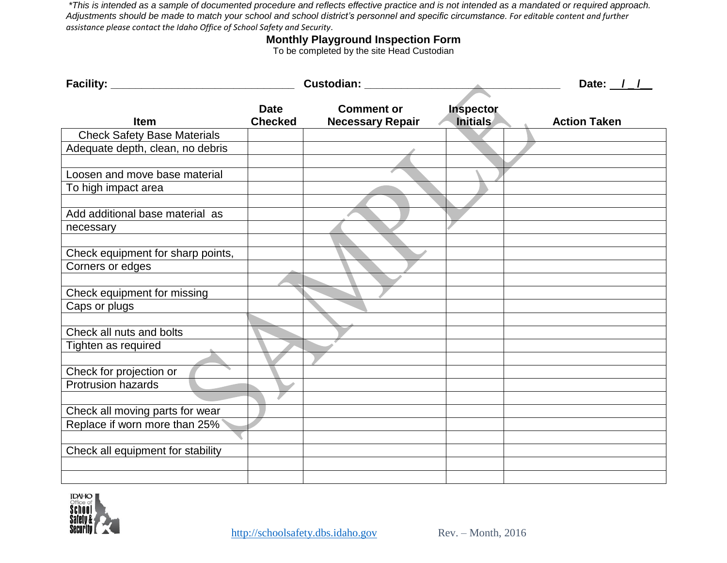*\*This is intended as a sample of documented procedure and reflects effective practice and is not intended as a mandated or required approach. Adjustments should be made to match your school and school district's personnel and specific circumstance. For editable content and further assistance please contact the Idaho Office of School Safety and Security.*

## **Monthly Playground Inspection Form**

To be completed by the site Head Custodian

| Facility: _____                    |                               | Custodian: _________                         |                              | Date: $1/$          |
|------------------------------------|-------------------------------|----------------------------------------------|------------------------------|---------------------|
| Item                               | <b>Date</b><br><b>Checked</b> | <b>Comment or</b><br><b>Necessary Repair</b> | Inspector<br><b>Initials</b> | <b>Action Taken</b> |
| <b>Check Safety Base Materials</b> |                               |                                              |                              |                     |
| Adequate depth, clean, no debris   |                               |                                              |                              |                     |
|                                    |                               |                                              |                              |                     |
| Loosen and move base material      |                               |                                              |                              |                     |
| To high impact area                |                               |                                              |                              |                     |
|                                    |                               |                                              |                              |                     |
| Add additional base material as    |                               |                                              |                              |                     |
| necessary                          |                               |                                              |                              |                     |
|                                    |                               |                                              |                              |                     |
| Check equipment for sharp points,  |                               |                                              |                              |                     |
| Corners or edges                   |                               |                                              |                              |                     |
|                                    |                               |                                              |                              |                     |
| Check equipment for missing        |                               |                                              |                              |                     |
| Caps or plugs                      |                               |                                              |                              |                     |
|                                    |                               |                                              |                              |                     |
| Check all nuts and bolts           |                               |                                              |                              |                     |
| Tighten as required                |                               |                                              |                              |                     |
|                                    |                               |                                              |                              |                     |
| Check for projection or            |                               |                                              |                              |                     |
| <b>Protrusion hazards</b>          |                               |                                              |                              |                     |
|                                    |                               |                                              |                              |                     |
| Check all moving parts for wear    |                               |                                              |                              |                     |
| Replace if worn more than 25%      |                               |                                              |                              |                     |
|                                    |                               |                                              |                              |                     |
| Check all equipment for stability  |                               |                                              |                              |                     |
|                                    |                               |                                              |                              |                     |
|                                    |                               |                                              |                              |                     |